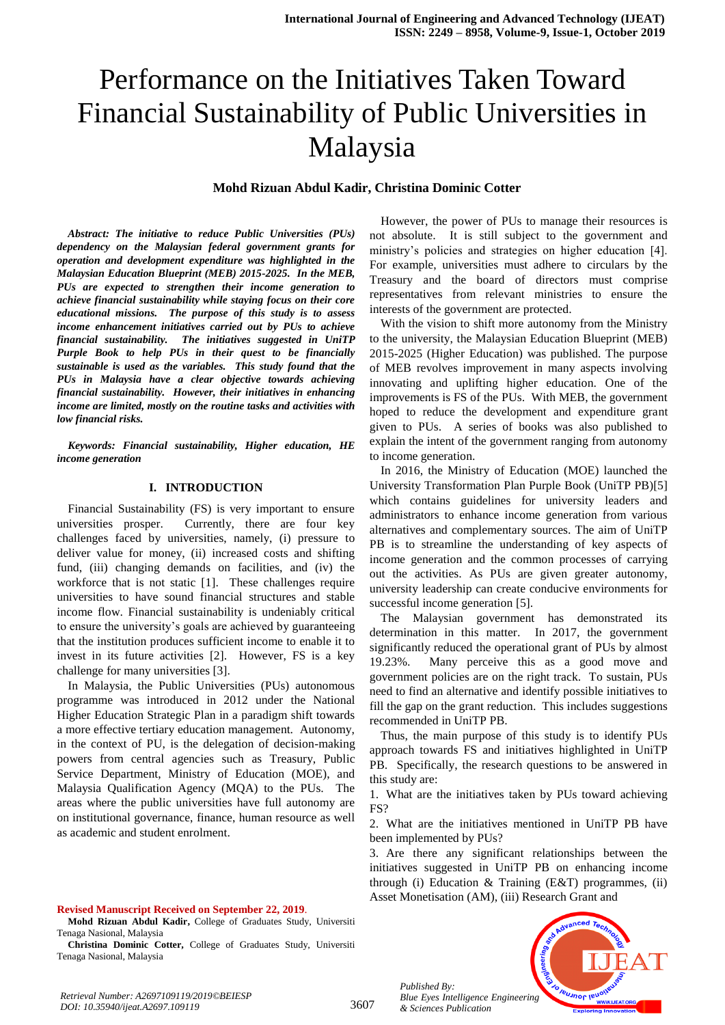# Performance on the Initiatives Taken Toward Financial Sustainability of Public Universities in Malaysia

#### **Mohd Rizuan Abdul Kadir, Christina Dominic Cotter**

*Abstract: The initiative to reduce Public Universities (PUs) dependency on the Malaysian federal government grants for operation and development expenditure was highlighted in the Malaysian Education Blueprint (MEB) 2015-2025. In the MEB, PUs are expected to strengthen their income generation to achieve financial sustainability while staying focus on their core educational missions. The purpose of this study is to assess income enhancement initiatives carried out by PUs to achieve financial sustainability. The initiatives suggested in UniTP Purple Book to help PUs in their quest to be financially sustainable is used as the variables. This study found that the PUs in Malaysia have a clear objective towards achieving financial sustainability. However, their initiatives in enhancing income are limited, mostly on the routine tasks and activities with low financial risks.* 

*Keywords: Financial sustainability, Higher education, HE income generation*

#### **I. INTRODUCTION**

Financial Sustainability (FS) is very important to ensure universities prosper. Currently, there are four key challenges faced by universities, namely, (i) pressure to deliver value for money, (ii) increased costs and shifting fund, (iii) changing demands on facilities, and (iv) the workforce that is not static [1]. These challenges require universities to have sound financial structures and stable income flow. Financial sustainability is undeniably critical to ensure the university's goals are achieved by guaranteeing that the institution produces sufficient income to enable it to invest in its future activities [2]. However, FS is a key challenge for many universities [3].

In Malaysia, the Public Universities (PUs) autonomous programme was introduced in 2012 under the National Higher Education Strategic Plan in a paradigm shift towards a more effective tertiary education management. Autonomy, in the context of PU, is the delegation of decision-making powers from central agencies such as Treasury, Public Service Department, Ministry of Education (MOE), and Malaysia Qualification Agency (MQA) to the PUs. The areas where the public universities have full autonomy are on institutional governance, finance, human resource as well as academic and student enrolment.

#### **Revised Manuscript Received on September 22, 2019**.

**Mohd Rizuan Abdul Kadir,** College of Graduates Study, Universiti Tenaga Nasional, Malaysia

**Christina Dominic Cotter,** College of Graduates Study, Universiti Tenaga Nasional, Malaysia

However, the power of PUs to manage their resources is not absolute. It is still subject to the government and ministry's policies and strategies on higher education [4]. For example, universities must adhere to circulars by the Treasury and the board of directors must comprise representatives from relevant ministries to ensure the interests of the government are protected.

With the vision to shift more autonomy from the Ministry to the university, the Malaysian Education Blueprint (MEB) 2015-2025 (Higher Education) was published. The purpose of MEB revolves improvement in many aspects involving innovating and uplifting higher education. One of the improvements is FS of the PUs. With MEB, the government hoped to reduce the development and expenditure grant given to PUs. A series of books was also published to explain the intent of the government ranging from autonomy to income generation.

In 2016, the Ministry of Education (MOE) launched the University Transformation Plan Purple Book (UniTP PB)[5] which contains guidelines for university leaders and administrators to enhance income generation from various alternatives and complementary sources. The aim of UniTP PB is to streamline the understanding of key aspects of income generation and the common processes of carrying out the activities. As PUs are given greater autonomy, university leadership can create conducive environments for successful income generation [5].

The Malaysian government has demonstrated its determination in this matter. In 2017, the government significantly reduced the operational grant of PUs by almost 19.23%. Many perceive this as a good move and government policies are on the right track. To sustain, PUs need to find an alternative and identify possible initiatives to fill the gap on the grant reduction. This includes suggestions recommended in UniTP PB.

Thus, the main purpose of this study is to identify PUs approach towards FS and initiatives highlighted in UniTP PB. Specifically, the research questions to be answered in this study are:

1. What are the initiatives taken by PUs toward achieving FS?

2. What are the initiatives mentioned in UniTP PB have been implemented by PUs?

3. Are there any significant relationships between the initiatives suggested in UniTP PB on enhancing income through (i) Education  $&$  Training (E $&$ T) programmes, (ii) Asset Monetisation (AM), (iii) Research Grant and

*Published By: Blue Eyes Intelligence Engineering & Sciences Publication* 

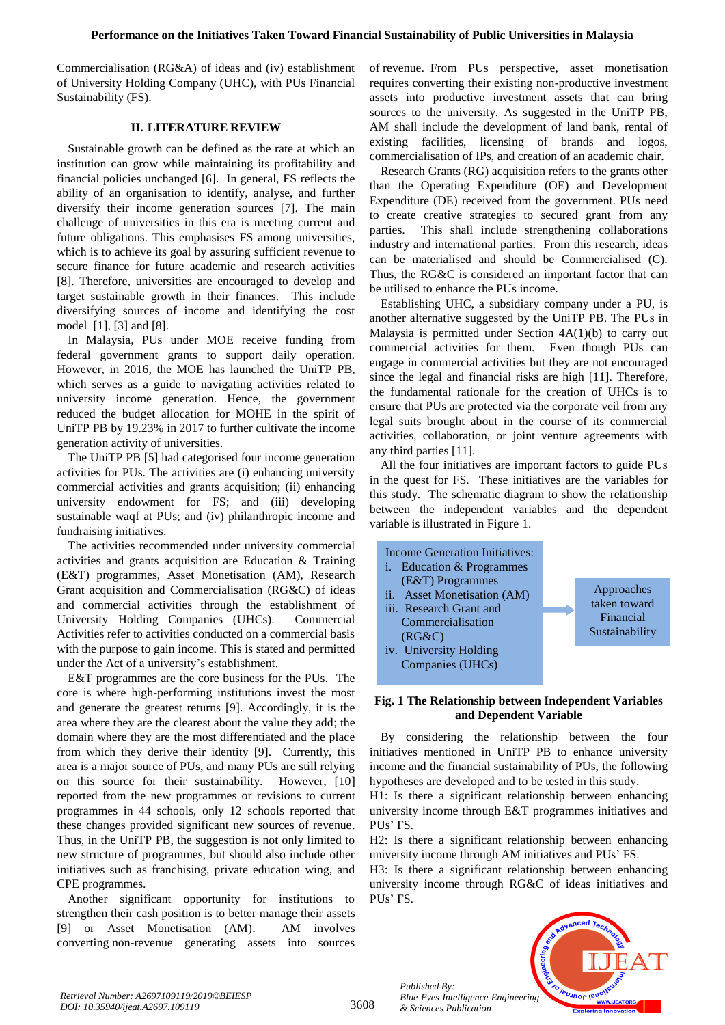Commercialisation (RG&A) of ideas and (iv) establishment of University Holding Company (UHC), with PUs Financial Sustainability (FS).

# **II. LITERATURE REVIEW**

Sustainable growth can be defined as the rate at which an institution can grow while maintaining its profitability and financial policies unchanged [6]. In general, FS reflects the ability of an organisation to identify, analyse, and further diversify their income generation sources [7]. The main challenge of universities in this era is meeting current and future obligations. This emphasises FS among universities, which is to achieve its goal by assuring sufficient revenue to secure finance for future academic and research activities [8]. Therefore, universities are encouraged to develop and target sustainable growth in their finances. This include diversifying sources of income and identifying the cost model [1], [3] and [8].

In Malaysia, PUs under MOE receive funding from federal government grants to support daily operation. However, in 2016, the MOE has launched the UniTP PB, which serves as a guide to navigating activities related to university income generation. Hence, the government reduced the budget allocation for MOHE in the spirit of UniTP PB by 19.23% in 2017 to further cultivate the income generation activity of universities.

The UniTP PB [5] had categorised four income generation activities for PUs. The activities are (i) enhancing university commercial activities and grants acquisition; (ii) enhancing university endowment for FS; and (iii) developing sustainable waqf at PUs; and (iv) philanthropic income and fundraising initiatives.

The activities recommended under university commercial activities and grants acquisition are Education & Training (E&T) programmes, Asset Monetisation (AM), Research Grant acquisition and Commercialisation (RG&C) of ideas and commercial activities through the establishment of University Holding Companies (UHCs). Commercial Activities refer to activities conducted on a commercial basis with the purpose to gain income. This is stated and permitted under the Act of a university's establishment.

E&T programmes are the core business for the PUs. The core is where high-performing institutions invest the most and generate the greatest returns [9]. Accordingly, it is the area where they are the clearest about the value they add; the domain where they are the most differentiated and the place from which they derive their identity [9]. Currently, this area is a major source of PUs, and many PUs are still relying on this source for their sustainability. However, [10] reported from the new programmes or revisions to current programmes in 44 schools, only 12 schools reported that these changes provided significant new sources of revenue. Thus, in the UniTP PB, the suggestion is not only limited to new structure of programmes, but should also include other initiatives such as franchising, private education wing, and CPE programmes.

Another significant opportunity for institutions to strengthen their cash position is to better manage their assets [9] or Asset Monetisation (AM). AM involves converting non-revenue generating assets into sources

of [revenue.](https://investinganswers.com/node/5108) From PUs perspective, asset monetisation requires converting their existing non-productive investment assets into productive investment assets that can bring sources to the university. As suggested in the UniTP PB, AM shall include the development of land bank, rental of existing facilities, licensing of brands and logos, commercialisation of IPs, and creation of an academic chair.

Research Grants (RG) acquisition refers to the grants other than the Operating Expenditure (OE) and Development Expenditure (DE) received from the government. PUs need to create creative strategies to secured grant from any parties. This shall include strengthening collaborations industry and international parties. From this research, ideas can be materialised and should be Commercialised (C). Thus, the RG&C is considered an important factor that can be utilised to enhance the PUs income.

Establishing UHC, a subsidiary company under a PU, is another alternative suggested by the UniTP PB. The PUs in Malaysia is permitted under Section 4A(1)(b) to carry out commercial activities for them. Even though PUs can engage in commercial activities but they are not encouraged since the legal and financial risks are high [11]. Therefore, the fundamental rationale for the creation of UHCs is to ensure that PUs are protected via the corporate veil from any legal suits brought about in the course of its commercial activities, collaboration, or joint venture agreements with any third parties [11].

All the four initiatives are important factors to guide PUs in the quest for FS. These initiatives are the variables for this study. The schematic diagram to show the relationship between the independent variables and the dependent variable is illustrated in Figure 1.



# **Fig. 1 The Relationship between Independent Variables and Dependent Variable**

By considering the relationship between the four initiatives mentioned in UniTP PB to enhance university income and the financial sustainability of PUs, the following hypotheses are developed and to be tested in this study.

H1: Is there a significant relationship between enhancing university income through E&T programmes initiatives and PUs' FS.

H2: Is there a significant relationship between enhancing university income through AM initiatives and PUs' FS.

H3: Is there a significant relationship between enhancing university income through RG&C of ideas initiatives and PUs' FS.



*Published By:*

*& Sciences Publication*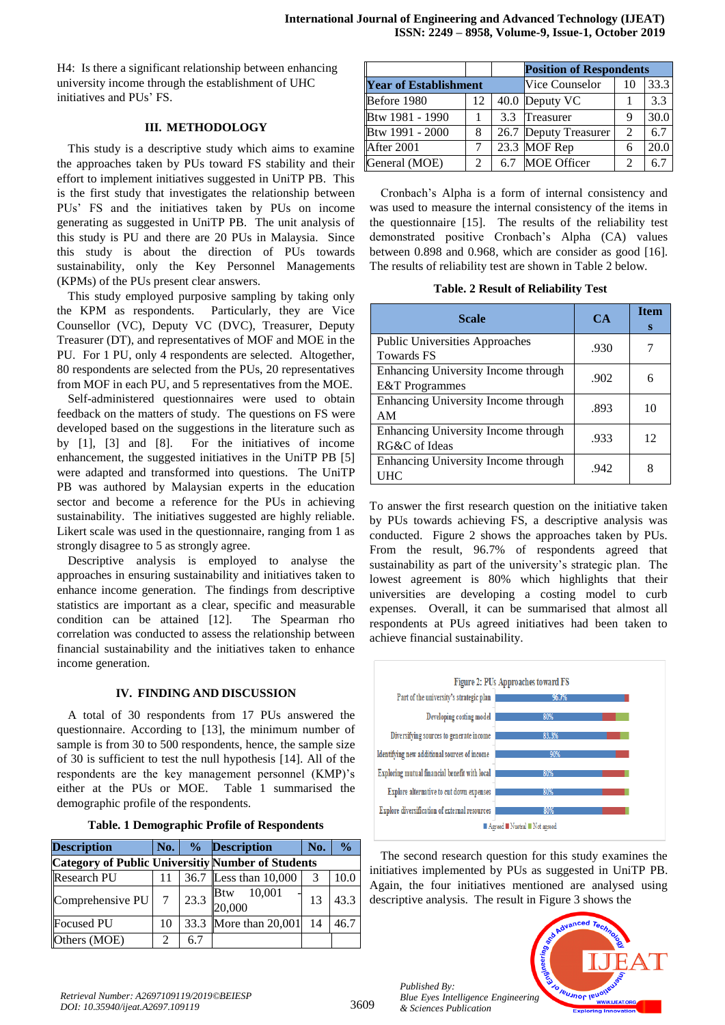H4: Is there a significant relationship between enhancing university income through the establishment of UHC initiatives and PUs' FS.

# **III. METHODOLOGY**

This study is a descriptive study which aims to examine the approaches taken by PUs toward FS stability and their effort to implement initiatives suggested in UniTP PB. This is the first study that investigates the relationship between PUs' FS and the initiatives taken by PUs on income generating as suggested in UniTP PB. The unit analysis of this study is PU and there are 20 PUs in Malaysia. Since this study is about the direction of PUs towards sustainability, only the Key Personnel Managements (KPMs) of the PUs present clear answers.

This study employed purposive sampling by taking only the KPM as respondents. Particularly, they are Vice Counsellor (VC), Deputy VC (DVC), Treasurer, Deputy Treasurer (DT), and representatives of MOF and MOE in the PU. For 1 PU, only 4 respondents are selected. Altogether, 80 respondents are selected from the PUs, 20 representatives from MOF in each PU, and 5 representatives from the MOE.

Self-administered questionnaires were used to obtain feedback on the matters of study. The questions on FS were developed based on the suggestions in the literature such as by [1], [3] and [8]. For the initiatives of income enhancement, the suggested initiatives in the UniTP PB [5] were adapted and transformed into questions. The UniTP PB was authored by Malaysian experts in the education sector and become a reference for the PUs in achieving sustainability. The initiatives suggested are highly reliable. Likert scale was used in the questionnaire, ranging from 1 as strongly disagree to 5 as strongly agree.

Descriptive analysis is employed to analyse the approaches in ensuring sustainability and initiatives taken to enhance income generation. The findings from descriptive statistics are important as a clear, specific and measurable condition can be attained [12]. The Spearman rho correlation was conducted to assess the relationship between financial sustainability and the initiatives taken to enhance income generation.

# **IV. FINDING AND DISCUSSION**

A total of 30 respondents from 17 PUs answered the questionnaire. According to [13], the minimum number of sample is from 30 to 500 respondents, hence, the sample size of 30 is sufficient to test the null hypothesis [14]. All of the respondents are the key management personnel (KMP)'s either at the PUs or MOE. Table 1 summarised the demographic profile of the respondents.

| <b>Table. 1 Demographic Profile of Respondents</b> |  |  |
|----------------------------------------------------|--|--|
|                                                    |  |  |

| <b>Description</b>                                       | No.    |      | % Description           | No. | $\frac{0}{0}$ |
|----------------------------------------------------------|--------|------|-------------------------|-----|---------------|
| <b>Category of Public Universitiy Number of Students</b> |        |      |                         |     |               |
| <b>Research PU</b>                                       | 11     |      | 36.7 Less than 10,000   | 3   | 10.0          |
| Comprehensive PU                                         | $\tau$ | 23.3 | Btw<br>10,001<br>20,000 | 13  | 43.3          |
| Focused PU                                               | 10     |      | 33.3 More than 20,001   | 14  | 46.7          |
| Others (MOE)                                             | っ      | 6.7  |                         |     |               |

|                              |                |     | <b>Position of Respondents</b> |                |      |  |
|------------------------------|----------------|-----|--------------------------------|----------------|------|--|
| <b>Year of Establishment</b> |                |     | Vice Counselor                 | 10             | 33.3 |  |
| Before 1980                  | 12             |     | 40.0 Deputy VC                 |                | 3.3  |  |
| Btw 1981 - 1990              |                |     | 3.3 Treasurer                  | 9              | 30.0 |  |
| Btw 1991 - 2000              | 8              |     | 26.7 Deputy Treasurer          | 2              | 6.7  |  |
| After 2001                   |                |     | 23.3 MOF Rep                   | 6              | 20.0 |  |
| General (MOE)                | $\mathfrak{D}$ | 6.7 | <b>MOE Officer</b>             | $\mathfrak{D}$ | 6.   |  |

Cronbach's Alpha is a form of internal consistency and was used to measure the internal consistency of the items in the questionnaire [15]. The results of the reliability test demonstrated positive Cronbach's Alpha (CA) values between 0.898 and 0.968, which are consider as good [16]. The results of reliability test are shown in Table 2 below.

**Table. 2 Result of Reliability Test**

| <b>Scale</b>                                                     | $CA$ | <b>Item</b><br>s |
|------------------------------------------------------------------|------|------------------|
| <b>Public Universities Approaches</b><br><b>Towards FS</b>       | .930 |                  |
| Enhancing University Income through<br><b>E&amp;T</b> Programmes | .902 |                  |
| Enhancing University Income through<br>AM                        | .893 | 10               |
| Enhancing University Income through<br>RG&C of Ideas             | .933 | 12               |
| Enhancing University Income through<br>UHC                       | .942 |                  |

To answer the first research question on the initiative taken by PUs towards achieving FS, a descriptive analysis was conducted. Figure 2 shows the approaches taken by PUs. From the result, 96.7% of respondents agreed that sustainability as part of the university's strategic plan. The lowest agreement is 80% which highlights that their universities are developing a costing model to curb expenses. Overall, it can be summarised that almost all respondents at PUs agreed initiatives had been taken to achieve financial sustainability.



The second research question for this study examines the initiatives implemented by PUs as suggested in UniTP PB. Again, the four initiatives mentioned are analysed using descriptive analysis. The result in Figure 3 shows the

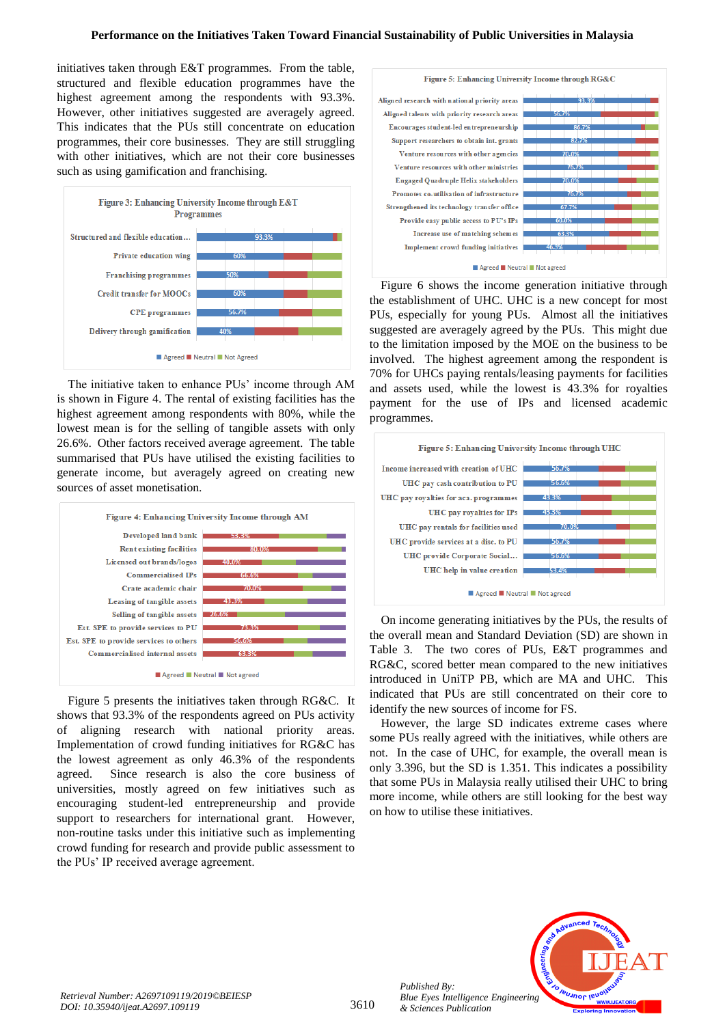# **Performance on the Initiatives Taken Toward Financial Sustainability of Public Universities in Malaysia**

initiatives taken through E&T programmes. From the table, structured and flexible education programmes have the highest agreement among the respondents with 93.3%. However, other initiatives suggested are averagely agreed. This indicates that the PUs still concentrate on education programmes, their core businesses. They are still struggling with other initiatives, which are not their core businesses such as using gamification and franchising.



The initiative taken to enhance PUs' income through AM is shown in Figure 4. The rental of existing facilities has the highest agreement among respondents with 80%, while the lowest mean is for the selling of tangible assets with only 26.6%. Other factors received average agreement. The table summarised that PUs have utilised the existing facilities to generate income, but averagely agreed on creating new sources of asset monetisation.



Figure 5 presents the initiatives taken through RG&C. It shows that 93.3% of the respondents agreed on PUs activity of aligning research with national priority areas. Implementation of crowd funding initiatives for RG&C has the lowest agreement as only 46.3% of the respondents agreed. Since research is also the core business of universities, mostly agreed on few initiatives such as encouraging student-led entrepreneurship and provide support to researchers for international grant. However, non-routine tasks under this initiative such as implementing crowd funding for research and provide public assessment to the PUs' IP received average agreement.



Figure 6 shows the income generation initiative through the establishment of UHC. UHC is a new concept for most PUs, especially for young PUs. Almost all the initiatives suggested are averagely agreed by the PUs. This might due to the limitation imposed by the MOE on the business to be involved. The highest agreement among the respondent is 70% for UHCs paying rentals/leasing payments for facilities and assets used, while the lowest is 43.3% for royalties payment for the use of IPs and licensed academic programmes.



On income generating initiatives by the PUs, the results of the overall mean and Standard Deviation (SD) are shown in Table 3. The two cores of PUs, E&T programmes and RG&C, scored better mean compared to the new initiatives introduced in UniTP PB, which are MA and UHC. This indicated that PUs are still concentrated on their core to identify the new sources of income for FS.

However, the large SD indicates extreme cases where some PUs really agreed with the initiatives, while others are not. In the case of UHC, for example, the overall mean is only 3.396, but the SD is 1.351. This indicates a possibility that some PUs in Malaysia really utilised their UHC to bring more income, while others are still looking for the best way on how to utilise these initiatives.



*Published By:*

*& Sciences Publication*